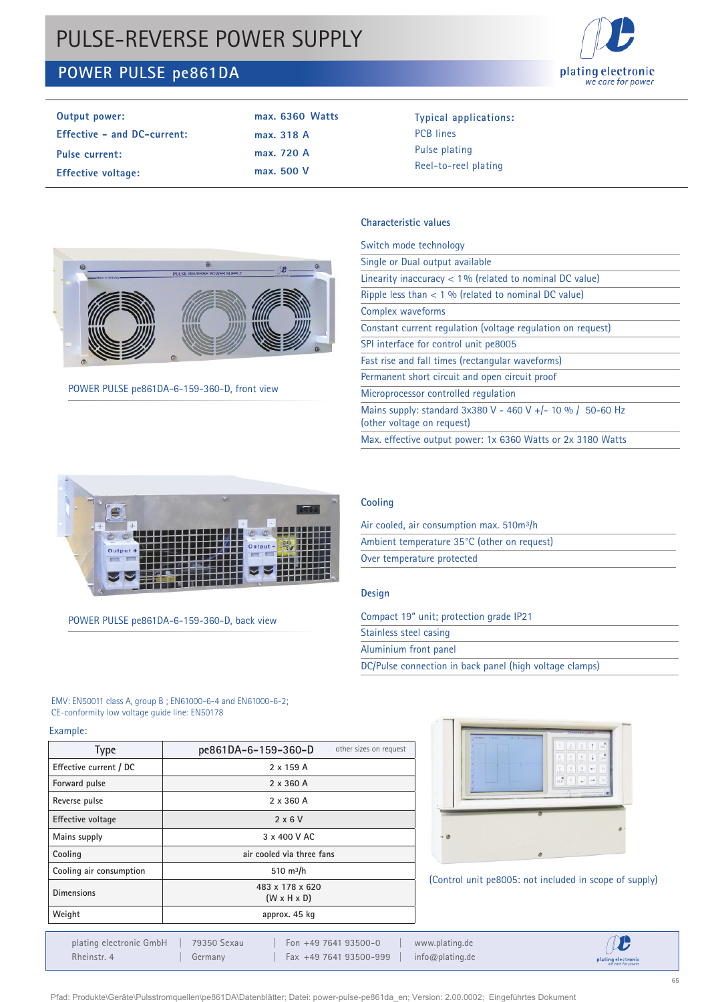# PULSE-REVERSE POWER SUPPLY

## **POWER PULSE pe861DA**



| Output power:                      | $max. 6360$ Watts |
|------------------------------------|-------------------|
| <b>Effective - and DC-current:</b> | max. 318 A        |
| Pulse current:                     | max. 720 A        |
| <b>Effective voltage:</b>          | max. 500 V        |

**Output power: Typical applications:**  PCB lines Pulse plating Reel-to-reel plating



POWER PULSE pe861DA-6-159-360-D, front view

## **Characteristic values**

| Switch mode technology                                                                     |
|--------------------------------------------------------------------------------------------|
| Single or Dual output available                                                            |
| Linearity inaccuracy $< 1\%$ (related to nominal DC value)                                 |
| Ripple less than $<$ 1 % (related to nominal DC value)                                     |
| Complex waveforms                                                                          |
| Constant current regulation (voltage regulation on reguest)                                |
| SPI interface for control unit pe8005                                                      |
| Fast rise and fall times (rectangular waveforms)                                           |
| Permanent short circuit and open circuit proof                                             |
| Microprocessor controlled regulation                                                       |
| Mains supply: standard $3x380$ V - 460 V +/- 10 % / 50-60 Hz<br>(other voltage on request) |
| Max. effective output power: 1x 6360 Watts or 2x 3180 Watts                                |
|                                                                                            |



POWER PULSE pe861DA-6-159-360-D, back view

## **Cooling**

| Air cooled, air consumption max. 510m <sup>3</sup> /h |
|-------------------------------------------------------|
| Ambient temperature 35°C (other on request)           |
| Over temperature protected                            |

## **Design**

| Compact 19" unit; protection grade IP21                 |
|---------------------------------------------------------|
| Stainless steel casing                                  |
| Aluminium front panel                                   |
| DC/Pulse connection in back panel (high voltage clamps) |
|                                                         |

#### EMV: EN50011 class A, group B ; EN61000-6-4 and EN61000-6-2; CE-conformity low voltage guide line: EN50178

Example:

| <b>Type</b>              | other sizes on request<br>pe861DA-6-159-360-D |  |  |  |
|--------------------------|-----------------------------------------------|--|--|--|
| Effective current / DC   | 2 x 159 A                                     |  |  |  |
| Forward pulse            | 2 x 360 A                                     |  |  |  |
| Reverse pulse            | 2 x 360 A                                     |  |  |  |
| <b>Effective voltage</b> | $2 \times 6 V$                                |  |  |  |
| Mains supply             | 3 x 400 V AC                                  |  |  |  |
| Cooling                  | air cooled via three fans                     |  |  |  |
| Cooling air consumption  | 510 $m^3/h$                                   |  |  |  |
| <b>Dimensions</b>        | 483 x 178 x 620<br>$(W \times H \times D)$    |  |  |  |
| Weight                   | approx. 45 kg                                 |  |  |  |



(Control unit pe8005: not included in scope of supply)

 $\mathcal{D}$ www.plating.de Rheinstr. 4 | Germany | Fax +49 7641 93500-999 | info@plating.de *we care for power*